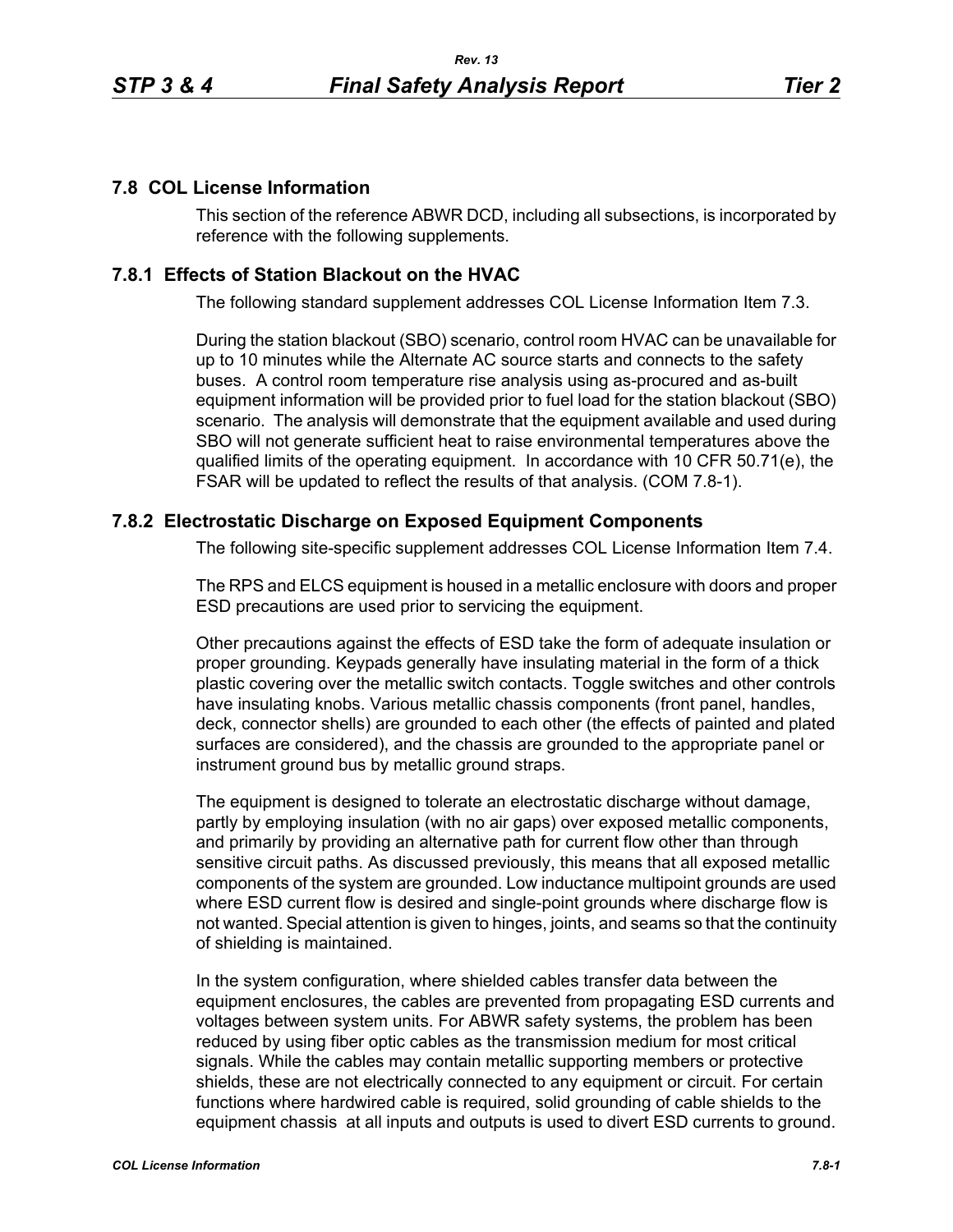## **7.8 COL License Information**

This section of the reference ABWR DCD, including all subsections, is incorporated by reference with the following supplements.

## **7.8.1 Effects of Station Blackout on the HVAC**

The following standard supplement addresses COL License Information Item 7.3.

During the station blackout (SBO) scenario, control room HVAC can be unavailable for up to 10 minutes while the Alternate AC source starts and connects to the safety buses. A control room temperature rise analysis using as-procured and as-built equipment information will be provided prior to fuel load for the station blackout (SBO) scenario. The analysis will demonstrate that the equipment available and used during SBO will not generate sufficient heat to raise environmental temperatures above the qualified limits of the operating equipment. In accordance with 10 CFR 50.71(e), the FSAR will be updated to reflect the results of that analysis. (COM 7.8-1).

## **7.8.2 Electrostatic Discharge on Exposed Equipment Components**

The following site-specific supplement addresses COL License Information Item 7.4.

The RPS and ELCS equipment is housed in a metallic enclosure with doors and proper ESD precautions are used prior to servicing the equipment.

Other precautions against the effects of ESD take the form of adequate insulation or proper grounding. Keypads generally have insulating material in the form of a thick plastic covering over the metallic switch contacts. Toggle switches and other controls have insulating knobs. Various metallic chassis components (front panel, handles, deck, connector shells) are grounded to each other (the effects of painted and plated surfaces are considered), and the chassis are grounded to the appropriate panel or instrument ground bus by metallic ground straps.

The equipment is designed to tolerate an electrostatic discharge without damage, partly by employing insulation (with no air gaps) over exposed metallic components, and primarily by providing an alternative path for current flow other than through sensitive circuit paths. As discussed previously, this means that all exposed metallic components of the system are grounded. Low inductance multipoint grounds are used where ESD current flow is desired and single-point grounds where discharge flow is not wanted. Special attention is given to hinges, joints, and seams so that the continuity of shielding is maintained.

In the system configuration, where shielded cables transfer data between the equipment enclosures, the cables are prevented from propagating ESD currents and voltages between system units. For ABWR safety systems, the problem has been reduced by using fiber optic cables as the transmission medium for most critical signals. While the cables may contain metallic supporting members or protective shields, these are not electrically connected to any equipment or circuit. For certain functions where hardwired cable is required, solid grounding of cable shields to the equipment chassis at all inputs and outputs is used to divert ESD currents to ground.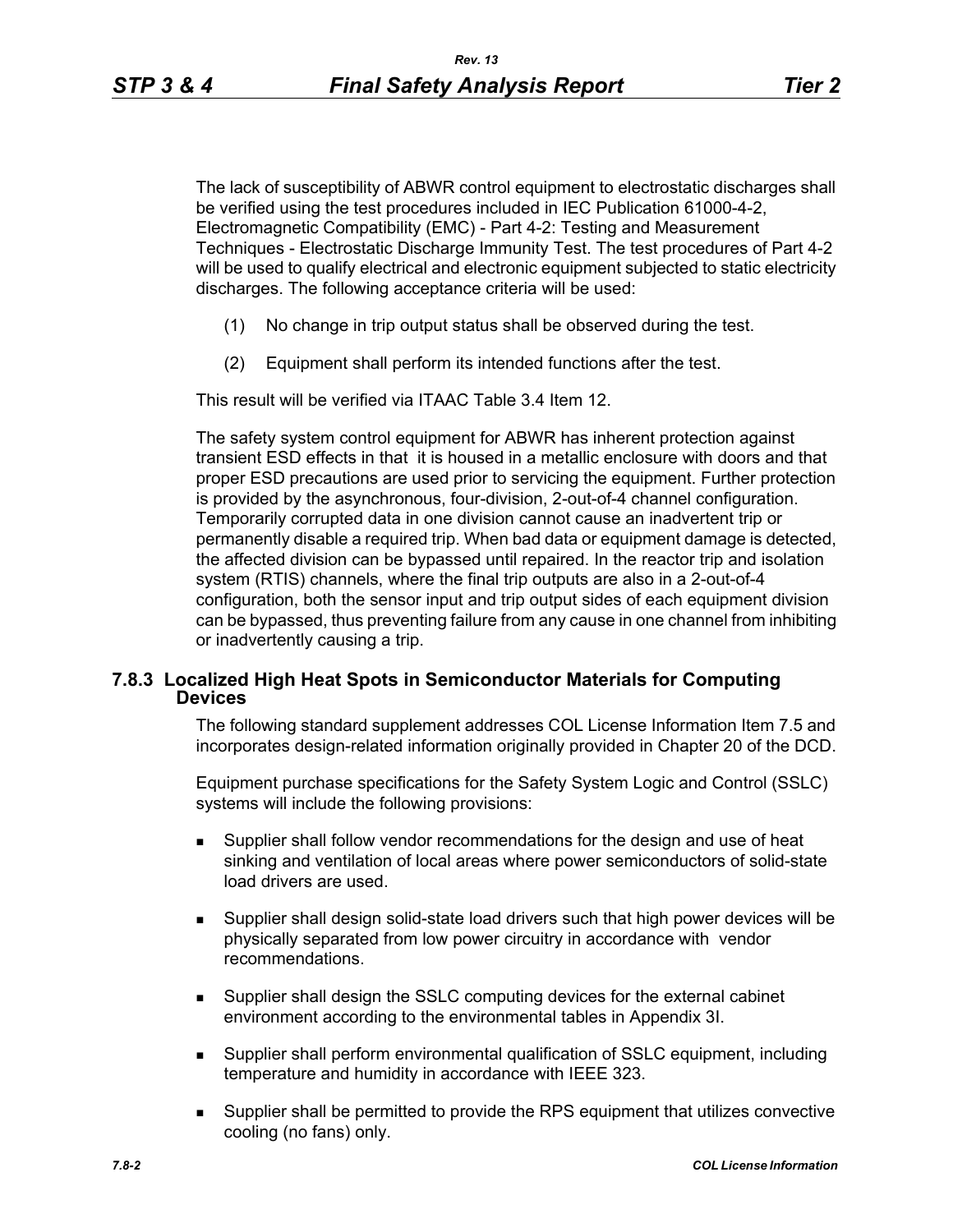The lack of susceptibility of ABWR control equipment to electrostatic discharges shall be verified using the test procedures included in IEC Publication 61000-4-2, Electromagnetic Compatibility (EMC) - Part 4-2: Testing and Measurement Techniques - Electrostatic Discharge Immunity Test. The test procedures of Part 4-2 will be used to qualify electrical and electronic equipment subjected to static electricity discharges. The following acceptance criteria will be used:

- (1) No change in trip output status shall be observed during the test.
- (2) Equipment shall perform its intended functions after the test.

This result will be verified via ITAAC Table 3.4 Item 12.

The safety system control equipment for ABWR has inherent protection against transient ESD effects in that it is housed in a metallic enclosure with doors and that proper ESD precautions are used prior to servicing the equipment. Further protection is provided by the asynchronous, four-division, 2-out-of-4 channel configuration. Temporarily corrupted data in one division cannot cause an inadvertent trip or permanently disable a required trip. When bad data or equipment damage is detected, the affected division can be bypassed until repaired. In the reactor trip and isolation system (RTIS) channels, where the final trip outputs are also in a 2-out-of-4 configuration, both the sensor input and trip output sides of each equipment division can be bypassed, thus preventing failure from any cause in one channel from inhibiting or inadvertently causing a trip.

## **7.8.3 Localized High Heat Spots in Semiconductor Materials for Computing Devices**

The following standard supplement addresses COL License Information Item 7.5 and incorporates design-related information originally provided in Chapter 20 of the DCD.

Equipment purchase specifications for the Safety System Logic and Control (SSLC) systems will include the following provisions:

- Supplier shall follow vendor recommendations for the design and use of heat sinking and ventilation of local areas where power semiconductors of solid-state load drivers are used.
- Supplier shall design solid-state load drivers such that high power devices will be physically separated from low power circuitry in accordance with vendor recommendations.
- Supplier shall design the SSLC computing devices for the external cabinet environment according to the environmental tables in Appendix 3I.
- Supplier shall perform environmental qualification of SSLC equipment, including temperature and humidity in accordance with IEEE 323.
- **Supplier shall be permitted to provide the RPS equipment that utilizes convective** cooling (no fans) only.